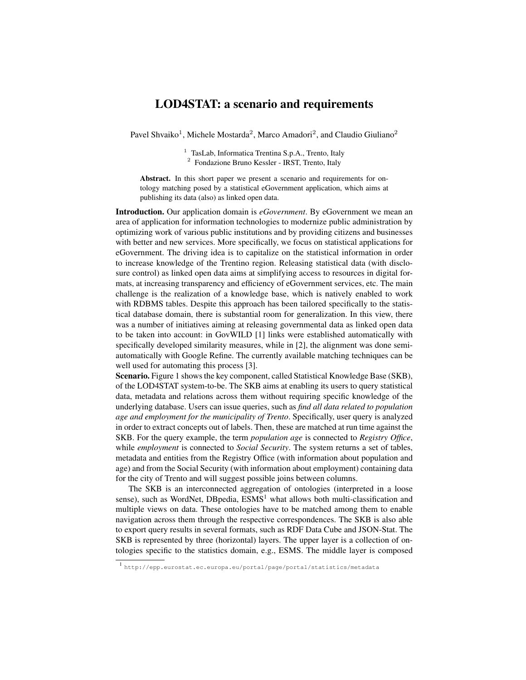## LOD4STAT: a scenario and requirements

Pavel Shvaiko<sup>1</sup>, Michele Mostarda<sup>2</sup>, Marco Amadori<sup>2</sup>, and Claudio Giuliano<sup>2</sup>

<sup>1</sup> TasLab, Informatica Trentina S.p.A., Trento, Italy

<sup>2</sup> Fondazione Bruno Kessler - IRST, Trento, Italy

Abstract. In this short paper we present a scenario and requirements for ontology matching posed by a statistical eGovernment application, which aims at publishing its data (also) as linked open data.

Introduction. Our application domain is *eGovernment*. By eGovernment we mean an area of application for information technologies to modernize public administration by optimizing work of various public institutions and by providing citizens and businesses with better and new services. More specifically, we focus on statistical applications for eGovernment. The driving idea is to capitalize on the statistical information in order to increase knowledge of the Trentino region. Releasing statistical data (with disclosure control) as linked open data aims at simplifying access to resources in digital formats, at increasing transparency and efficiency of eGovernment services, etc. The main challenge is the realization of a knowledge base, which is natively enabled to work with RDBMS tables. Despite this approach has been tailored specifically to the statistical database domain, there is substantial room for generalization. In this view, there was a number of initiatives aiming at releasing governmental data as linked open data to be taken into account: in GovWILD [1] links were established automatically with specifically developed similarity measures, while in [2], the alignment was done semiautomatically with Google Refine. The currently available matching techniques can be well used for automating this process [3].

Scenario. Figure 1 shows the key component, called Statistical Knowledge Base (SKB), of the LOD4STAT system-to-be. The SKB aims at enabling its users to query statistical data, metadata and relations across them without requiring specific knowledge of the underlying database. Users can issue queries, such as *find all data related to population age and employment for the municipality of Trento*. Specifically, user query is analyzed in order to extract concepts out of labels. Then, these are matched at run time against the SKB. For the query example, the term *population age* is connected to *Registry Office*, while *employment* is connected to *Social Security*. The system returns a set of tables, metadata and entities from the Registry Office (with information about population and age) and from the Social Security (with information about employment) containing data for the city of Trento and will suggest possible joins between columns.

The SKB is an interconnected aggregation of ontologies (interpreted in a loose sense), such as WordNet, DBpedia,  $ESMS<sup>1</sup>$  what allows both multi-classification and multiple views on data. These ontologies have to be matched among them to enable navigation across them through the respective correspondences. The SKB is also able to export query results in several formats, such as RDF Data Cube and JSON-Stat. The SKB is represented by three (horizontal) layers. The upper layer is a collection of ontologies specific to the statistics domain, e.g., ESMS. The middle layer is composed

<sup>1</sup> http://epp.eurostat.ec.europa.eu/portal/page/portal/statistics/metadata